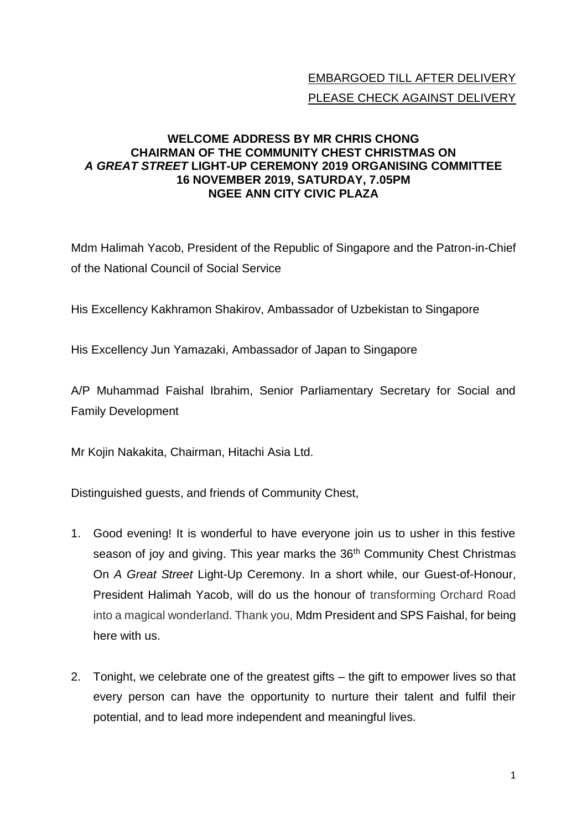## EMBARGOED TILL AFTER DELIVERY PLEASE CHECK AGAINST DELIVERY

## **WELCOME ADDRESS BY MR CHRIS CHONG CHAIRMAN OF THE COMMUNITY CHEST CHRISTMAS ON**  *A GREAT STREET* **LIGHT-UP CEREMONY 2019 ORGANISING COMMITTEE 16 NOVEMBER 2019, SATURDAY, 7.05PM NGEE ANN CITY CIVIC PLAZA**

Mdm Halimah Yacob, President of the Republic of Singapore and the Patron-in-Chief of the National Council of Social Service

His Excellency Kakhramon Shakirov, Ambassador of Uzbekistan to Singapore

His Excellency Jun Yamazaki, Ambassador of Japan to Singapore

A/P Muhammad Faishal Ibrahim, Senior Parliamentary Secretary for Social and Family Development

Mr Kojin Nakakita, Chairman, Hitachi Asia Ltd.

Distinguished guests, and friends of Community Chest,

- 1. Good evening! It is wonderful to have everyone join us to usher in this festive season of joy and giving. This year marks the 36<sup>th</sup> Community Chest Christmas On *A Great Street* Light-Up Ceremony. In a short while, our Guest-of-Honour, President Halimah Yacob, will do us the honour of transforming Orchard Road into a magical wonderland. Thank you, Mdm President and SPS Faishal, for being here with us.
- 2. Tonight, we celebrate one of the greatest gifts the gift to empower lives so that every person can have the opportunity to nurture their talent and fulfil their potential, and to lead more independent and meaningful lives.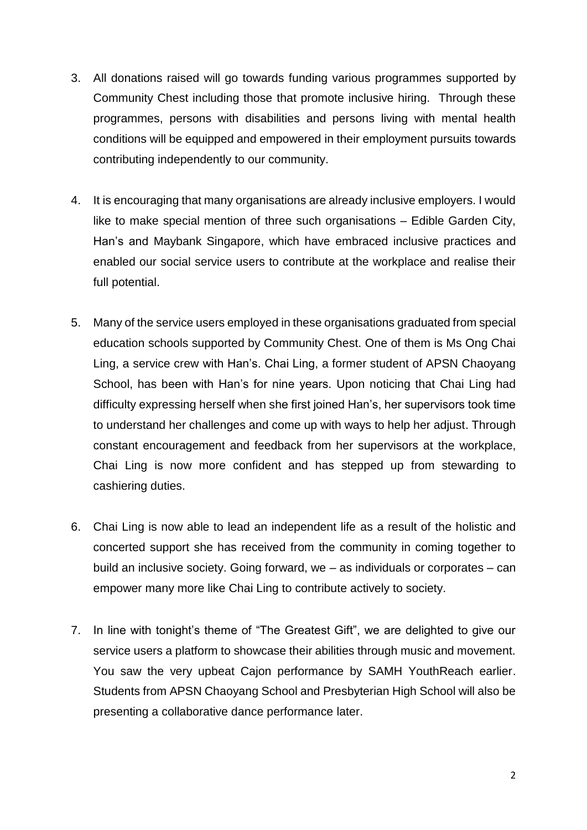- 3. All donations raised will go towards funding various programmes supported by Community Chest including those that promote inclusive hiring. Through these programmes, persons with disabilities and persons living with mental health conditions will be equipped and empowered in their employment pursuits towards contributing independently to our community.
- 4. It is encouraging that many organisations are already inclusive employers. I would like to make special mention of three such organisations – Edible Garden City, Han's and Maybank Singapore, which have embraced inclusive practices and enabled our social service users to contribute at the workplace and realise their full potential.
- 5. Many of the service users employed in these organisations graduated from special education schools supported by Community Chest. One of them is Ms Ong Chai Ling, a service crew with Han's. Chai Ling, a former student of APSN Chaoyang School, has been with Han's for nine years. Upon noticing that Chai Ling had difficulty expressing herself when she first joined Han's, her supervisors took time to understand her challenges and come up with ways to help her adjust. Through constant encouragement and feedback from her supervisors at the workplace, Chai Ling is now more confident and has stepped up from stewarding to cashiering duties.
- 6. Chai Ling is now able to lead an independent life as a result of the holistic and concerted support she has received from the community in coming together to build an inclusive society. Going forward, we – as individuals or corporates – can empower many more like Chai Ling to contribute actively to society.
- 7. In line with tonight's theme of "The Greatest Gift", we are delighted to give our service users a platform to showcase their abilities through music and movement. You saw the very upbeat Cajon performance by SAMH YouthReach earlier. Students from APSN Chaoyang School and Presbyterian High School will also be presenting a collaborative dance performance later.